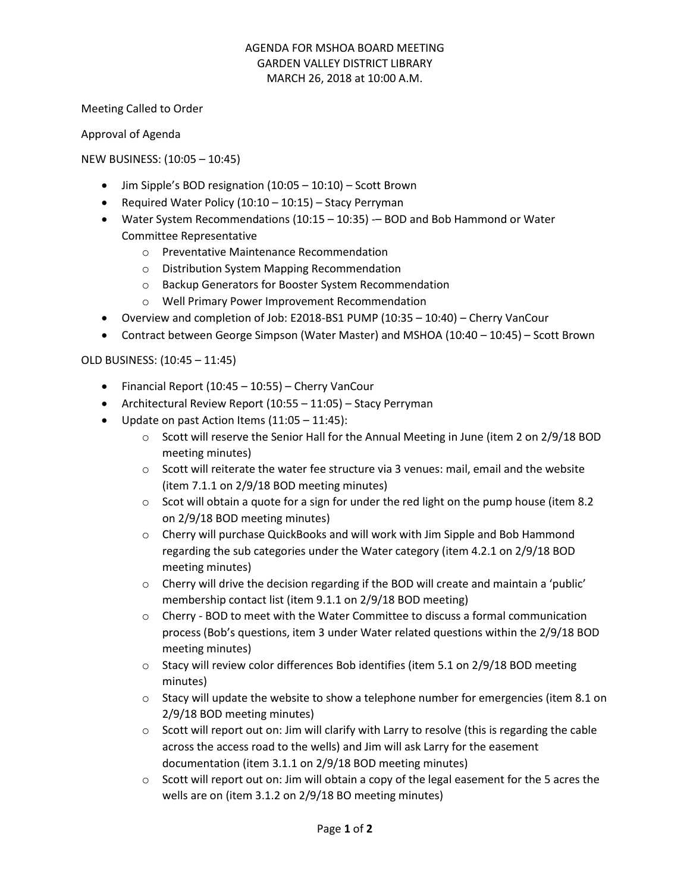### AGENDA FOR MSHOA BOARD MEETING GARDEN VALLEY DISTRICT LIBRARY MARCH 26, 2018 at 10:00 A.M.

Meeting Called to Order

Approval of Agenda

NEW BUSINESS: (10:05 – 10:45)

- Jim Sipple's BOD resignation (10:05 10:10) Scott Brown
- Required Water Policy (10:10 10:15) Stacy Perryman
- Water System Recommendations (10:15 10:35) BOD and Bob Hammond or Water Committee Representative
	- o Preventative Maintenance Recommendation
	- o Distribution System Mapping Recommendation
	- o Backup Generators for Booster System Recommendation
	- o Well Primary Power Improvement Recommendation
- Overview and completion of Job: E2018-BS1 PUMP (10:35 10:40) Cherry VanCour
- Contract between George Simpson (Water Master) and MSHOA (10:40 10:45) Scott Brown

# OLD BUSINESS: (10:45 – 11:45)

- Financial Report (10:45 10:55) Cherry VanCour
- Architectural Review Report (10:55 11:05) Stacy Perryman
- Update on past Action Items (11:05 11:45):
	- $\circ$  Scott will reserve the Senior Hall for the Annual Meeting in June (item 2 on 2/9/18 BOD meeting minutes)
	- $\circ$  Scott will reiterate the water fee structure via 3 venues: mail, email and the website (item 7.1.1 on 2/9/18 BOD meeting minutes)
	- $\circ$  Scot will obtain a quote for a sign for under the red light on the pump house (item 8.2) on 2/9/18 BOD meeting minutes)
	- o Cherry will purchase QuickBooks and will work with Jim Sipple and Bob Hammond regarding the sub categories under the Water category (item 4.2.1 on 2/9/18 BOD meeting minutes)
	- $\circ$  Cherry will drive the decision regarding if the BOD will create and maintain a 'public' membership contact list (item 9.1.1 on 2/9/18 BOD meeting)
	- $\circ$  Cherry BOD to meet with the Water Committee to discuss a formal communication process (Bob's questions, item 3 under Water related questions within the 2/9/18 BOD meeting minutes)
	- $\circ$  Stacy will review color differences Bob identifies (item 5.1 on 2/9/18 BOD meeting minutes)
	- $\circ$  Stacy will update the website to show a telephone number for emergencies (item 8.1 on 2/9/18 BOD meeting minutes)
	- $\circ$  Scott will report out on: Jim will clarify with Larry to resolve (this is regarding the cable across the access road to the wells) and Jim will ask Larry for the easement documentation (item 3.1.1 on 2/9/18 BOD meeting minutes)
	- $\circ$  Scott will report out on: Jim will obtain a copy of the legal easement for the 5 acres the wells are on (item 3.1.2 on 2/9/18 BO meeting minutes)